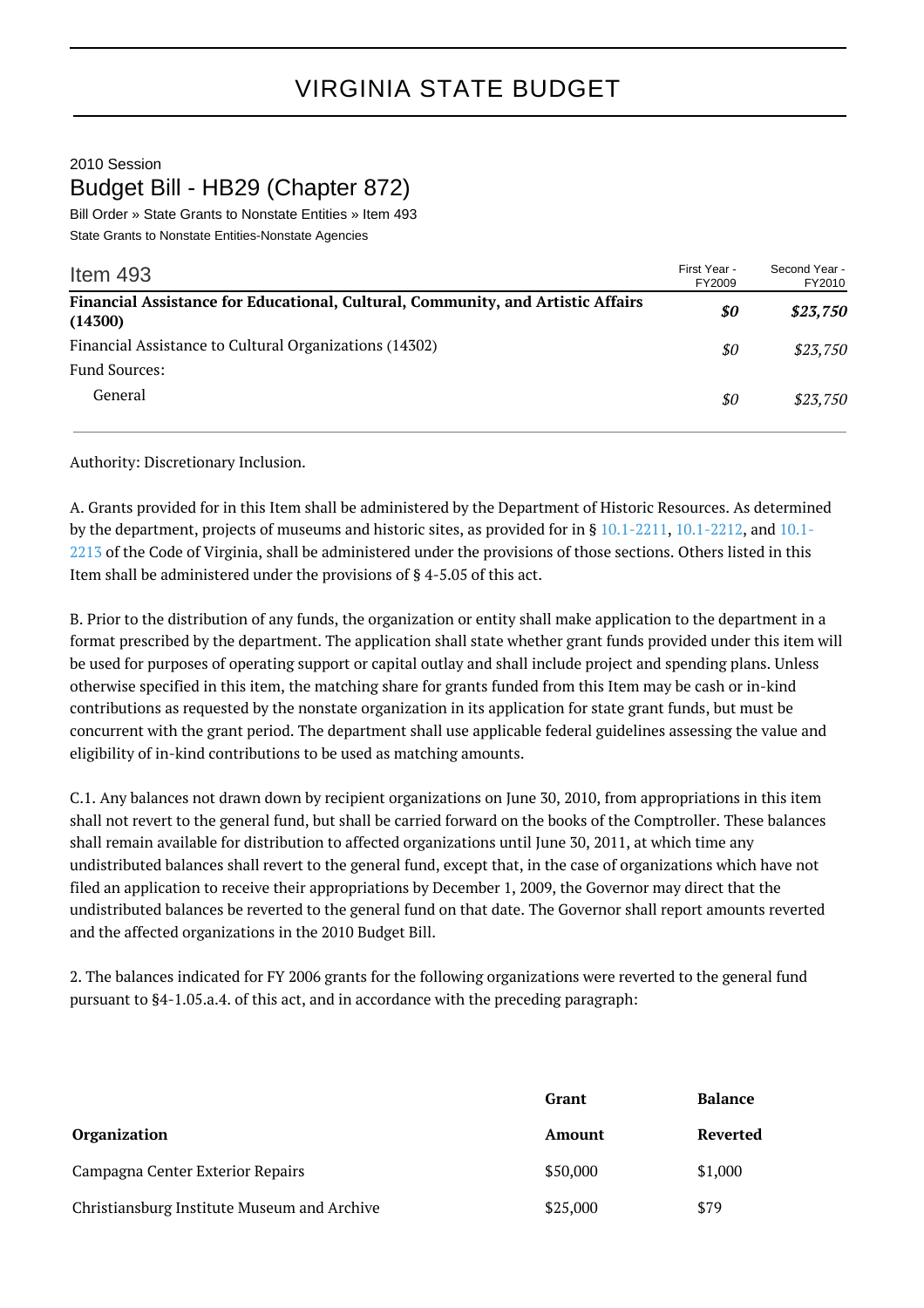## 2010 Session Budget Bill - HB29 (Chapter 872)

Bill Order » State Grants to Nonstate Entities » Item 493 State Grants to Nonstate Entities-Nonstate Agencies

| Item $493$                                                                                 | First Year -<br>FY2009 | Second Year -<br>FY2010 |
|--------------------------------------------------------------------------------------------|------------------------|-------------------------|
| Financial Assistance for Educational, Cultural, Community, and Artistic Affairs<br>(14300) | \$0                    | \$23,750                |
| Financial Assistance to Cultural Organizations (14302)                                     | \$0                    | \$23,750                |
| <b>Fund Sources:</b>                                                                       |                        |                         |
| General                                                                                    | \$0                    | \$23.750                |

Authority: Discretionary Inclusion.

A. Grants provided for in this Item shall be administered by the Department of Historic Resources. As determined by the department, projects of museums and historic sites, as provided for in § [10.1-2211,](http://law.lis.virginia.gov/vacode/10.1-2211/) [10.1-2212](http://law.lis.virginia.gov/vacode/10.1-2212/), and [10.1-](http://law.lis.virginia.gov/vacode/10.1-2213/) [2213](http://law.lis.virginia.gov/vacode/10.1-2213/) of the Code of Virginia, shall be administered under the provisions of those sections. Others listed in this Item shall be administered under the provisions of § 4-5.05 of this act.

B. Prior to the distribution of any funds, the organization or entity shall make application to the department in a format prescribed by the department. The application shall state whether grant funds provided under this item will be used for purposes of operating support or capital outlay and shall include project and spending plans. Unless otherwise specified in this item, the matching share for grants funded from this Item may be cash or in-kind contributions as requested by the nonstate organization in its application for state grant funds, but must be concurrent with the grant period. The department shall use applicable federal guidelines assessing the value and eligibility of in-kind contributions to be used as matching amounts.

C.1. Any balances not drawn down by recipient organizations on June 30, 2010, from appropriations in this item shall not revert to the general fund, but shall be carried forward on the books of the Comptroller. These balances shall remain available for distribution to affected organizations until June 30, 2011, at which time any undistributed balances shall revert to the general fund, except that, in the case of organizations which have not filed an application to receive their appropriations by December 1, 2009, the Governor may direct that the undistributed balances be reverted to the general fund on that date. The Governor shall report amounts reverted and the affected organizations in the 2010 Budget Bill.

2. The balances indicated for FY 2006 grants for the following organizations were reverted to the general fund pursuant to §4-1.05.a.4. of this act, and in accordance with the preceding paragraph:

|                                             | Grant    | <b>Balance</b> |
|---------------------------------------------|----------|----------------|
| <b>Organization</b>                         | Amount   | Reverted       |
| Campagna Center Exterior Repairs            | \$50,000 | \$1,000        |
| Christiansburg Institute Museum and Archive | \$25,000 | \$79           |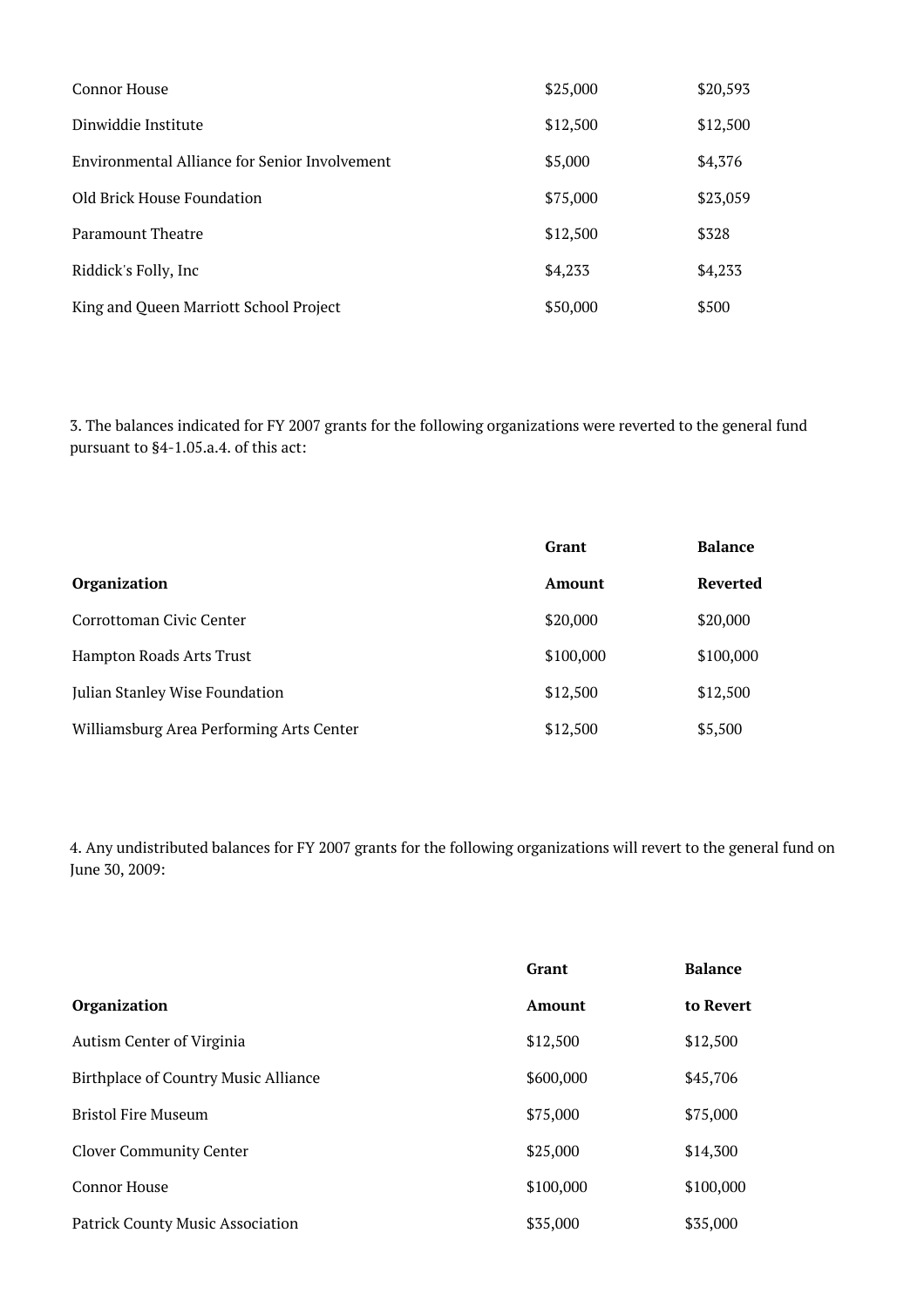| Connor House                                  | \$25,000 | \$20,593 |
|-----------------------------------------------|----------|----------|
| Dinwiddie Institute                           | \$12,500 | \$12,500 |
| Environmental Alliance for Senior Involvement | \$5,000  | \$4,376  |
| Old Brick House Foundation                    | \$75,000 | \$23,059 |
| Paramount Theatre                             | \$12,500 | \$328    |
| Riddick's Folly, Inc                          | \$4,233  | \$4,233  |
| King and Queen Marriott School Project        | \$50,000 | \$500    |

3. The balances indicated for FY 2007 grants for the following organizations were reverted to the general fund pursuant to §4-1.05.a.4. of this act:

|                                          | <b>Grant</b> | <b>Balance</b> |
|------------------------------------------|--------------|----------------|
| <b>Organization</b>                      | Amount       | Reverted       |
| Corrottoman Civic Center                 | \$20,000     | \$20,000       |
| Hampton Roads Arts Trust                 | \$100,000    | \$100,000      |
| Julian Stanley Wise Foundation           | \$12,500     | \$12,500       |
| Williamsburg Area Performing Arts Center | \$12,500     | \$5,500        |

4. Any undistributed balances for FY 2007 grants for the following organizations will revert to the general fund on June 30, 2009:

|                                         | Grant     | <b>Balance</b> |
|-----------------------------------------|-----------|----------------|
| <b>Organization</b>                     | Amount    | to Revert      |
| Autism Center of Virginia               | \$12,500  | \$12,500       |
| Birthplace of Country Music Alliance    | \$600,000 | \$45,706       |
| <b>Bristol Fire Museum</b>              | \$75,000  | \$75,000       |
| <b>Clover Community Center</b>          | \$25,000  | \$14,300       |
| <b>Connor House</b>                     | \$100,000 | \$100,000      |
| <b>Patrick County Music Association</b> | \$35,000  | \$35,000       |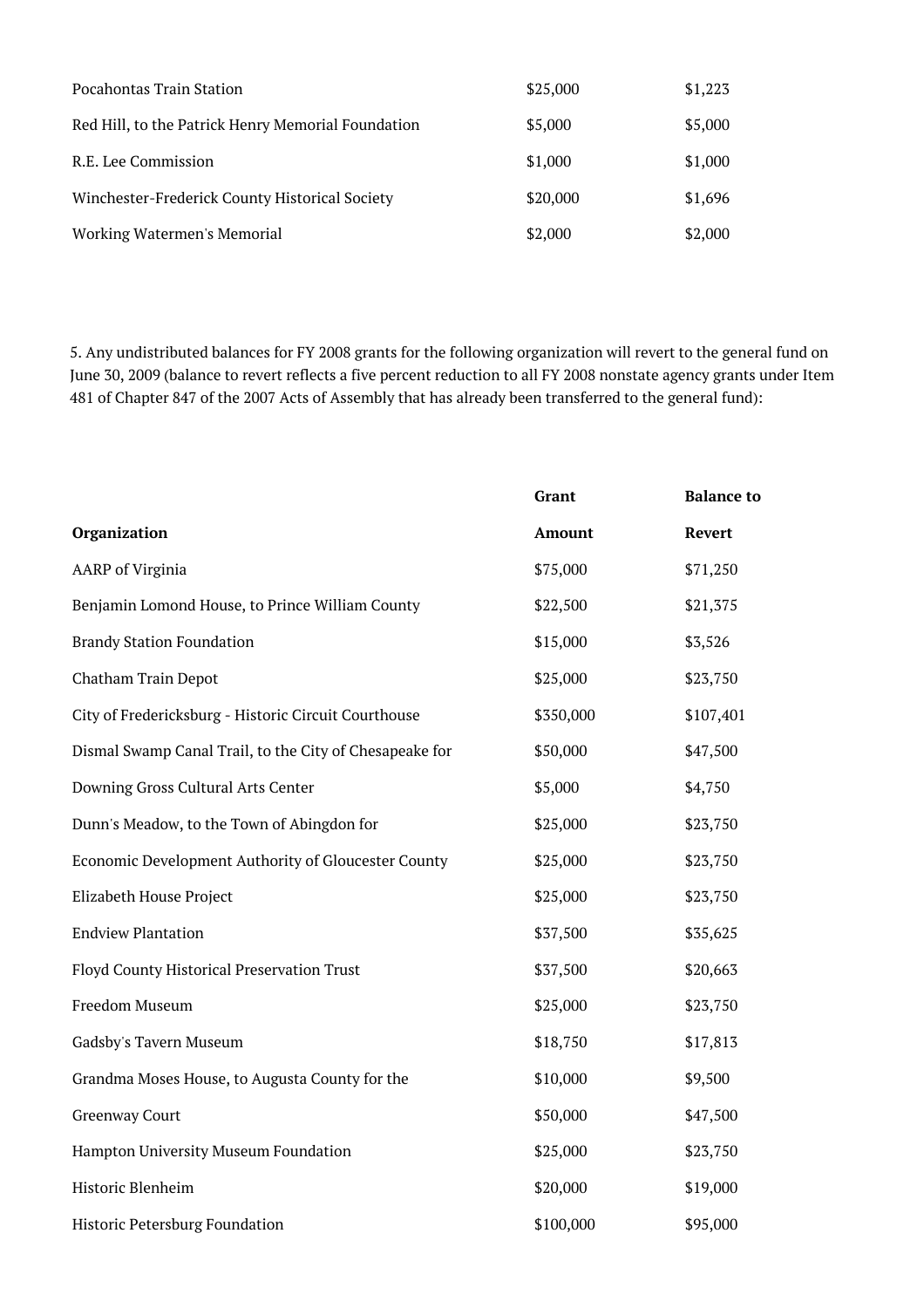| Pocahontas Train Station                           | \$25,000 | \$1,223 |
|----------------------------------------------------|----------|---------|
| Red Hill, to the Patrick Henry Memorial Foundation | \$5,000  | \$5,000 |
| R.E. Lee Commission                                | \$1,000  | \$1,000 |
| Winchester-Frederick County Historical Society     | \$20,000 | \$1,696 |
| Working Watermen's Memorial                        | \$2,000  | \$2,000 |

5. Any undistributed balances for FY 2008 grants for the following organization will revert to the general fund on June 30, 2009 (balance to revert reflects a five percent reduction to all FY 2008 nonstate agency grants under Item 481 of Chapter 847 of the 2007 Acts of Assembly that has already been transferred to the general fund):

|                                                         | Grant         | <b>Balance to</b> |
|---------------------------------------------------------|---------------|-------------------|
| Organization                                            | <b>Amount</b> | Revert            |
| <b>AARP</b> of Virginia                                 | \$75,000      | \$71,250          |
| Benjamin Lomond House, to Prince William County         | \$22,500      | \$21,375          |
| <b>Brandy Station Foundation</b>                        | \$15,000      | \$3,526           |
| Chatham Train Depot                                     | \$25,000      | \$23,750          |
| City of Fredericksburg - Historic Circuit Courthouse    | \$350,000     | \$107,401         |
| Dismal Swamp Canal Trail, to the City of Chesapeake for | \$50,000      | \$47,500          |
| Downing Gross Cultural Arts Center                      | \$5,000       | \$4,750           |
| Dunn's Meadow, to the Town of Abingdon for              | \$25,000      | \$23,750          |
| Economic Development Authority of Gloucester County     | \$25,000      | \$23,750          |
| Elizabeth House Project                                 | \$25,000      | \$23,750          |
| <b>Endview Plantation</b>                               | \$37,500      | \$35,625          |
| Floyd County Historical Preservation Trust              | \$37,500      | \$20,663          |
| Freedom Museum                                          | \$25,000      | \$23,750          |
| Gadsby's Tavern Museum                                  | \$18,750      | \$17,813          |
| Grandma Moses House, to Augusta County for the          | \$10,000      | \$9,500           |
| <b>Greenway Court</b>                                   | \$50,000      | \$47,500          |
| Hampton University Museum Foundation                    | \$25,000      | \$23,750          |
| Historic Blenheim                                       | \$20,000      | \$19,000          |
| <b>Historic Petersburg Foundation</b>                   | \$100,000     | \$95,000          |